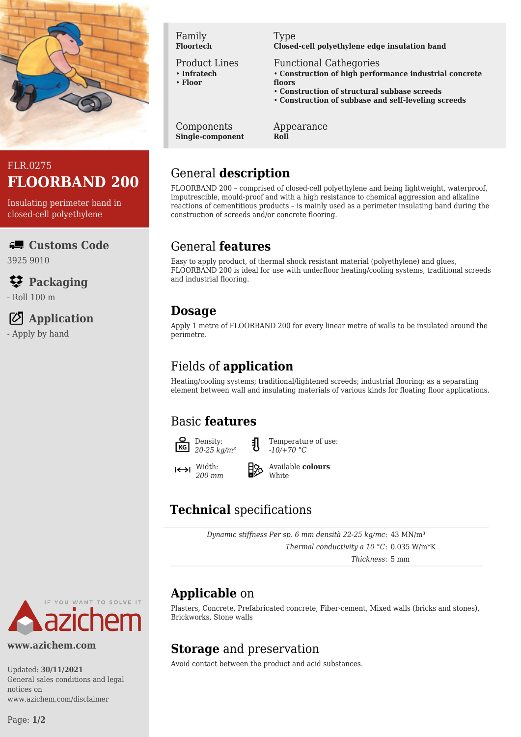



Insulating perimeter band in closed-cell polyethylene

**Customs Code** 3925 9010

#### **Packaging**

- Roll 100 m

#### **Application**

- Apply by hand

#### Family **Floortech**

Product Lines

- **Infratech** • **Floor**
- 

Type **Closed-cell polyethylene edge insulation band**

Functional Cathegories

- **Construction of high performance industrial concrete floors**
- **Construction of structural subbase screeds**
- **Construction of subbase and self-leveling screeds**

Components **Single-component** Appearance **Roll**

# General **description**

FLOORBAND 200 – comprised of closed-cell polyethylene and being lightweight, waterproof, imputrescible, mould-proof and with a high resistance to chemical aggression and alkaline reactions of cementitious products – is mainly used as a perimeter insulating band during the construction of screeds and/or concrete flooring.

### General **features**

Easy to apply product, of thermal shock resistant material (polyethylene) and glues, FLOORBAND 200 is ideal for use with underfloor heating/cooling systems, traditional screeds and industrial flooring.

### **Dosage**

Apply 1 metre of FLOORBAND 200 for every linear metre of walls to be insulated around the perimetre.

## Fields of **application**

Heating/cooling systems; traditional/lightened screeds; industrial flooring; as a separating element between wall and insulating materials of various kinds for floating floor applications.

## Basic **features**



Temperature of use: *-10/+70 °C*

 $\left|\leftarrow\right>$  Width: *200 mm*

Available **colours White** 

# **Technical** specifications

*Dynamic stiffness Per sp. 6 mm densità 22-25 kg/mc*: 43 MN/m³ *Thermal conductivity a 10 °C*: 0.035 W/m\*K

*Thickness*: 5 mm

## **Applicable** on

Plasters, Concrete, Prefabricated concrete, Fiber-cement, Mixed walls (bricks and stones), Brickworks, Stone walls

## **Storage** and preservation

Avoid contact between the product and acid substances.



#### **www.azichem.com**

Updated: **30/11/2021** General sales conditions and legal notices on www.azichem.com/disclaimer